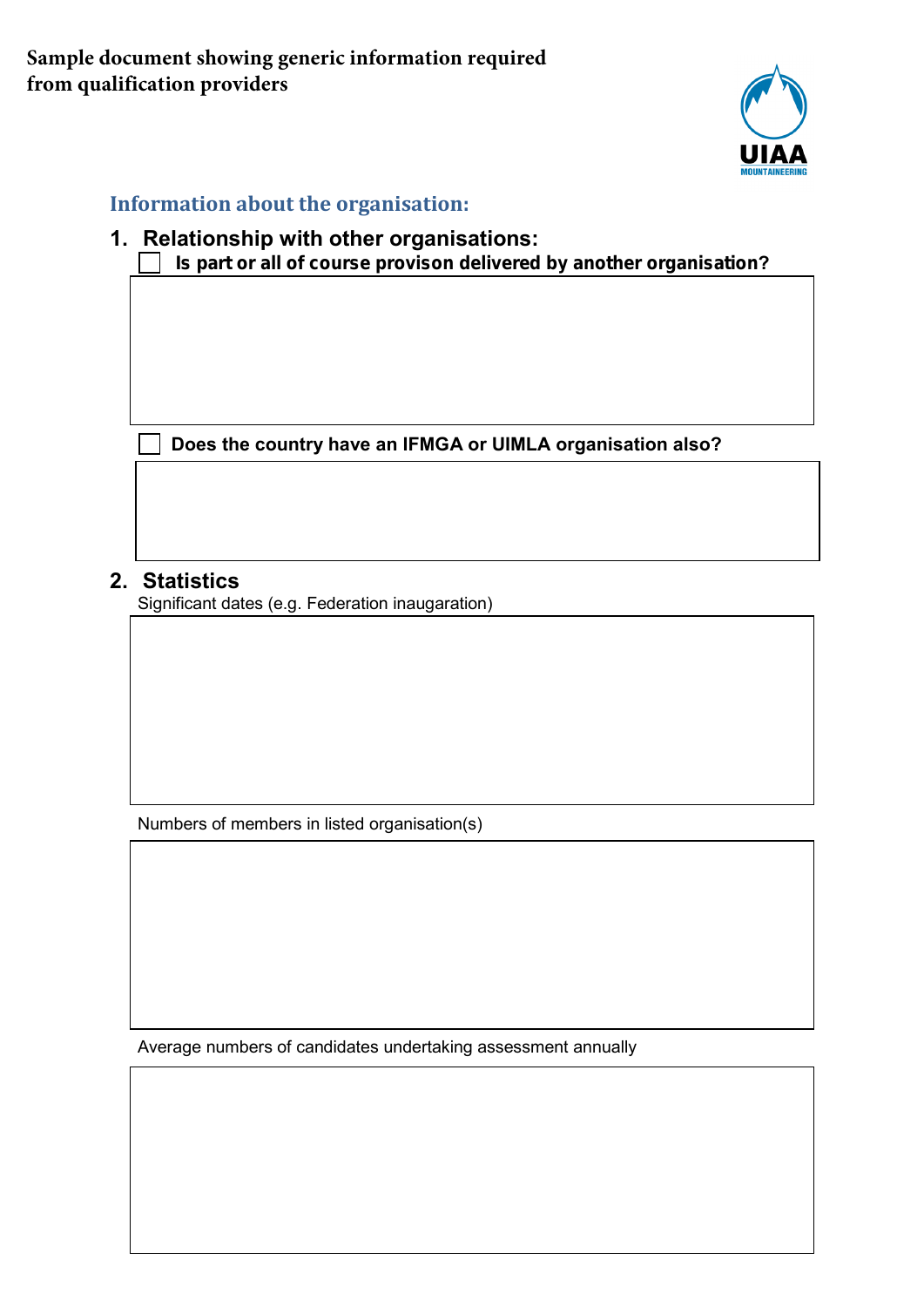

### **Information about the organisation:**

#### **1. Relationship with other organisations: Is part or all of course provison delivered by another organisation?**

**Does the country have an IFMGA or UIMLA organisation also?**  $\mathbf{I}$ 

### **2. Statistics**

Significant dates (e.g. Federation inaugaration)

Numbers of members in listed organisation(s)

Average numbers of candidates undertaking assessment annually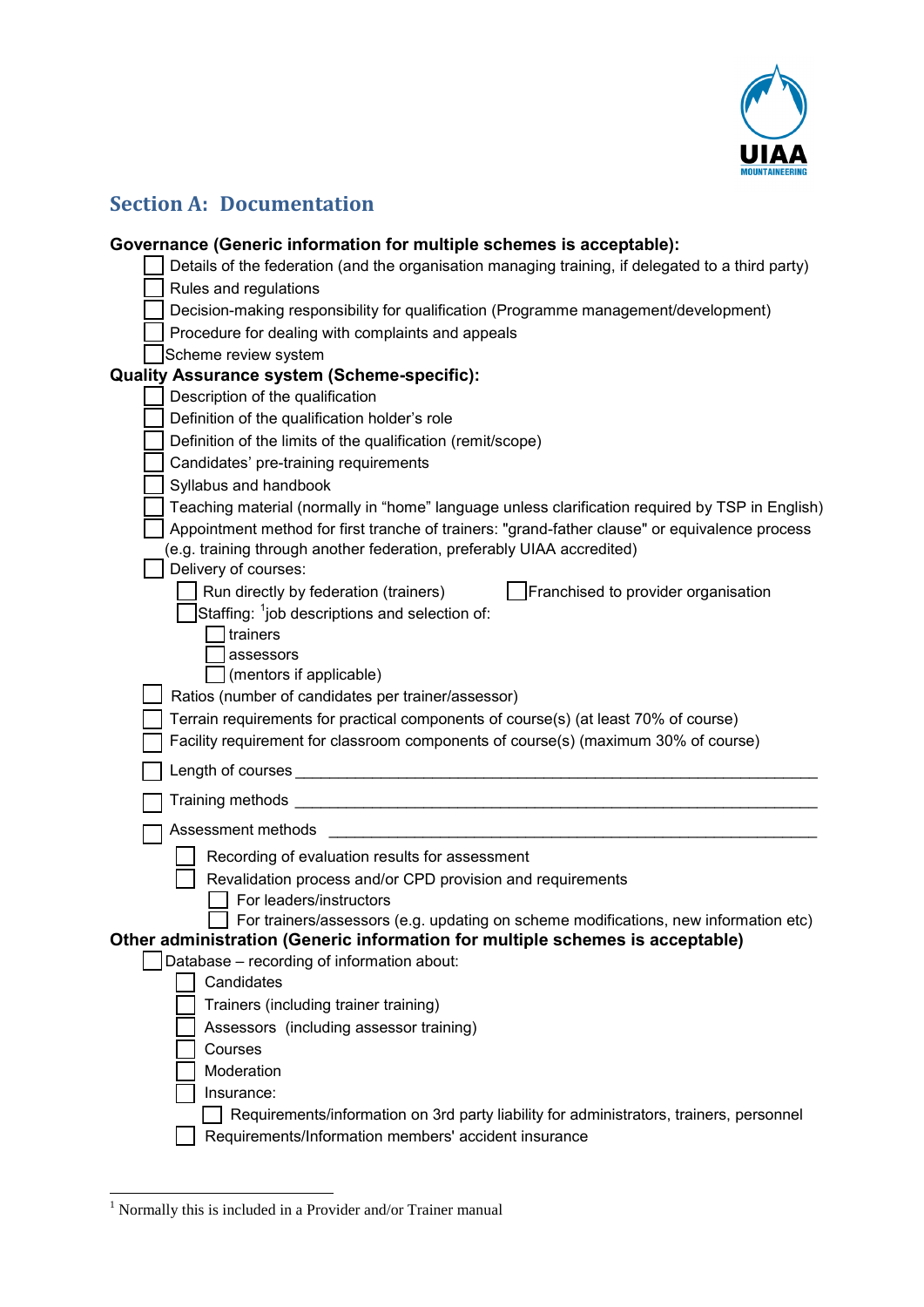

# **Section A: Documentation**

| Governance (Generic information for multiple schemes is acceptable):                              |  |
|---------------------------------------------------------------------------------------------------|--|
| Details of the federation (and the organisation managing training, if delegated to a third party) |  |
| Rules and regulations                                                                             |  |
| Decision-making responsibility for qualification (Programme management/development)               |  |
| Procedure for dealing with complaints and appeals                                                 |  |
| Scheme review system                                                                              |  |
| <b>Quality Assurance system (Scheme-specific):</b>                                                |  |
| Description of the qualification                                                                  |  |
| Definition of the qualification holder's role                                                     |  |
| Definition of the limits of the qualification (remit/scope)                                       |  |
| Candidates' pre-training requirements                                                             |  |
| Syllabus and handbook                                                                             |  |
| Teaching material (normally in "home" language unless clarification required by TSP in English)   |  |
| Appointment method for first tranche of trainers: "grand-father clause" or equivalence process    |  |
| (e.g. training through another federation, preferably UIAA accredited)                            |  |
| Delivery of courses:                                                                              |  |
| Franchised to provider organisation<br>Run directly by federation (trainers)                      |  |
| Staffing: <sup>1</sup> job descriptions and selection of:                                         |  |
| trainers                                                                                          |  |
| assessors                                                                                         |  |
| (mentors if applicable)                                                                           |  |
| Ratios (number of candidates per trainer/assessor)                                                |  |
| Terrain requirements for practical components of course(s) (at least 70% of course)               |  |
| Facility requirement for classroom components of course(s) (maximum 30% of course)                |  |
| Length of courses                                                                                 |  |
| Training methods _                                                                                |  |
| Assessment methods                                                                                |  |
| Recording of evaluation results for assessment                                                    |  |
| Revalidation process and/or CPD provision and requirements                                        |  |
| For leaders/instructors                                                                           |  |
| For trainers/assessors (e.g. updating on scheme modifications, new information etc)               |  |
| Other administration (Generic information for multiple schemes is acceptable)                     |  |
| Database - recording of information about:                                                        |  |
| Candidates                                                                                        |  |
| Trainers (including trainer training)                                                             |  |
| Assessors (including assessor training)                                                           |  |
| Courses                                                                                           |  |
| Moderation                                                                                        |  |
| Insurance:                                                                                        |  |
| Requirements/information on 3rd party liability for administrators, trainers, personnel           |  |
| Requirements/Information members' accident insurance                                              |  |
|                                                                                                   |  |

<u> 1990 - Jan Jawa</u>

<span id="page-1-0"></span><sup>1</sup> Normally this is included in a Provider and/or Trainer manual